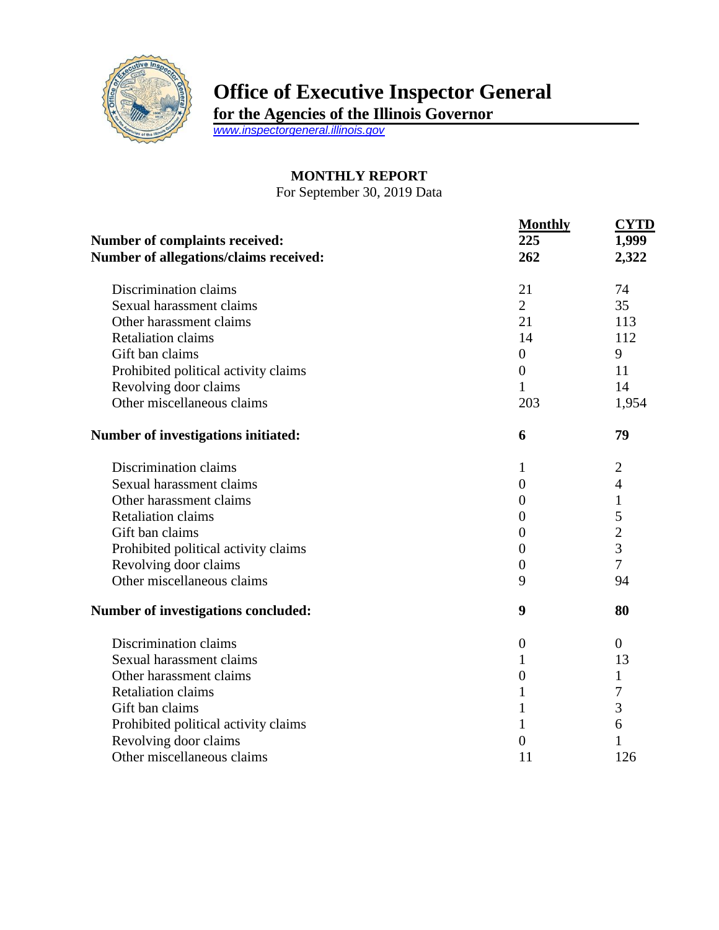

## **Office of Executive Inspector General**

**for the Agencies of the Illinois Governor**

*[www.inspectorgeneral.illinois.gov](http://www.inspectorgeneral.illinois.gov/)*

## **MONTHLY REPORT**

For September 30, 2019 Data

| <b>Number of complaints received:</b><br>Number of allegations/claims received: | <b>Monthly</b><br>225<br>262 | <b>CYTD</b><br>1,999<br>2,322 |
|---------------------------------------------------------------------------------|------------------------------|-------------------------------|
| Discrimination claims                                                           | 21                           | 74                            |
| Sexual harassment claims                                                        | $\overline{2}$               | 35                            |
| Other harassment claims                                                         | 21                           | 113                           |
| <b>Retaliation claims</b>                                                       | 14                           | 112                           |
| Gift ban claims                                                                 | $\boldsymbol{0}$             | 9                             |
| Prohibited political activity claims                                            | $\overline{0}$               | 11                            |
| Revolving door claims                                                           | $\mathbf{1}$                 | 14                            |
| Other miscellaneous claims                                                      | 203                          | 1,954                         |
| Number of investigations initiated:                                             | 6                            | 79                            |
| Discrimination claims                                                           | 1                            | $\overline{2}$                |
| Sexual harassment claims                                                        | $\boldsymbol{0}$             | $\overline{4}$                |
| Other harassment claims                                                         | $\overline{0}$               | $\mathbf{1}$                  |
| <b>Retaliation claims</b>                                                       | $\overline{0}$               | 5                             |
| Gift ban claims                                                                 | $\overline{0}$               | $\overline{2}$                |
| Prohibited political activity claims                                            | $\overline{0}$               | $\overline{3}$                |
| Revolving door claims                                                           | $\overline{0}$               | $\overline{7}$                |
| Other miscellaneous claims                                                      | 9                            | 94                            |
| Number of investigations concluded:                                             | 9                            | 80                            |
| Discrimination claims                                                           | $\boldsymbol{0}$             | $\overline{0}$                |
| Sexual harassment claims                                                        | 1                            | 13                            |
| Other harassment claims                                                         | $\boldsymbol{0}$             | 1                             |
| <b>Retaliation claims</b>                                                       | $\mathbf{1}$                 | 7                             |
| Gift ban claims                                                                 | 1                            | 3                             |
| Prohibited political activity claims                                            | 1                            | 6                             |
| Revolving door claims                                                           | $\overline{0}$               |                               |
| Other miscellaneous claims                                                      | 11                           | 126                           |